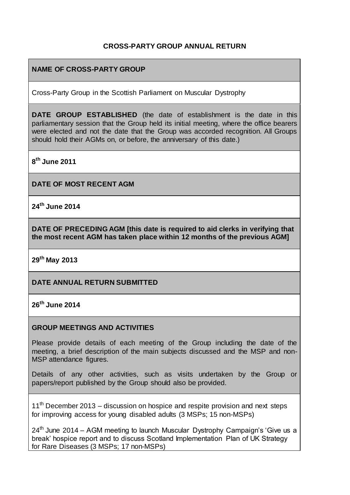### **CROSS-PARTY GROUP ANNUAL RETURN**

### **NAME OF CROSS-PARTY GROUP**

Cross-Party Group in the Scottish Parliament on Muscular Dystrophy

**DATE GROUP ESTABLISHED** (the date of establishment is the date in this parliamentary session that the Group held its initial meeting, where the office bearers were elected and not the date that the Group was accorded recognition. All Groups should hold their AGMs on, or before, the anniversary of this date.)

**8 th June 2011** 

**DATE OF MOST RECENT AGM**

**24th June 2014** 

**DATE OF PRECEDING AGM [this date is required to aid clerks in verifying that the most recent AGM has taken place within 12 months of the previous AGM]**

**29th May 2013** 

**DATE ANNUAL RETURN SUBMITTED**

**26th June 2014** 

#### **GROUP MEETINGS AND ACTIVITIES**

Please provide details of each meeting of the Group including the date of the meeting, a brief description of the main subjects discussed and the MSP and non-MSP attendance figures.

Details of any other activities, such as visits undertaken by the Group or papers/report published by the Group should also be provided.

 $11<sup>th</sup>$  December 2013 – discussion on hospice and respite provision and next steps for improving access for young disabled adults (3 MSPs; 15 non-MSPs)

 $24<sup>th</sup>$  June 2014 – AGM meeting to launch Muscular Dystrophy Campaign's 'Give us a break' hospice report and to discuss Scotland Implementation Plan of UK Strategy for Rare Diseases (3 MSPs; 17 non-MSPs)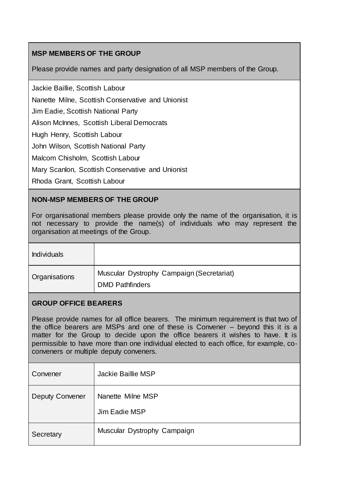# **MSP MEMBERS OF THE GROUP**

Please provide names and party designation of all MSP members of the Group.

Jackie Baillie, Scottish Labour

Nanette Milne, Scottish Conservative and Unionist

Jim Eadie, Scottish National Party

Alison McInnes, Scottish Liberal Democrats

Hugh Henry, Scottish Labour

John Wilson, Scottish National Party

Malcom Chisholm, Scottish Labour

Mary Scanlon, Scottish Conservative and Unionist

Rhoda Grant, Scottish Labour

### **NON-MSP MEMBERS OF THE GROUP**

For organisational members please provide only the name of the organisation, it is not necessary to provide the name(s) of individuals who may represent the organisation at meetings of the Group.

| <b>Individuals</b> |                                                                     |
|--------------------|---------------------------------------------------------------------|
| Organisations      | Muscular Dystrophy Campaign (Secretariat)<br><b>DMD Pathfinders</b> |

### **GROUP OFFICE BEARERS**

Please provide names for all office bearers. The minimum requirement is that two of the office bearers are MSPs and one of these is Convener – beyond this it is a matter for the Group to decide upon the office bearers it wishes to have. It is permissible to have more than one individual elected to each office, for example, coconveners or multiple deputy conveners.

| Convener               | Jackie Baillie MSP                 |
|------------------------|------------------------------------|
| <b>Deputy Convener</b> | Nanette Milne MSP<br>Jim Eadie MSP |
| Secretary              | Muscular Dystrophy Campaign        |